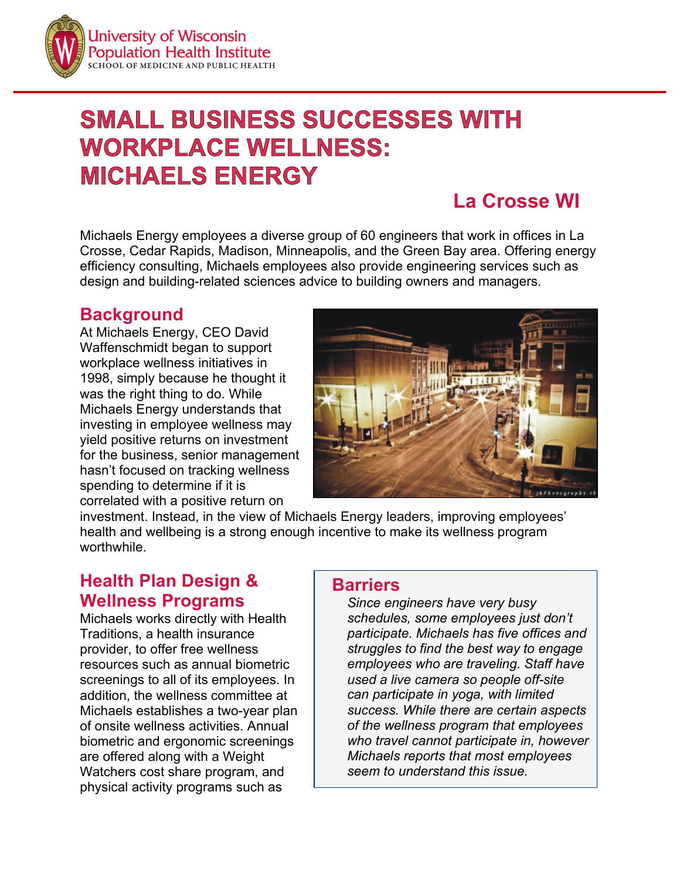

# **SMALL BUSINESS SUCCESSES WITH WORKPLACE WELLNESS: MICHAELS ENERGY**

# **La Crosse WI**

Michaels Energy employees a diverse group of 60 engineers that work in offices in La Crosse, Cedar Rapids, Madison, Minneapolis, and the Green Bay area. Offering energy efficiency consulting, Michaels employees also provide engineering services such as design and building-related sciences advice to building owners and managers.

#### **Background**

At Michaels Energy, CEO David Waffenschmidt began to support workplace wellness initiatives in 1998, simply because he thought it was the right thing to do. While Michaels Energy understands that investing in employee wellness may yield positive returns on investment for the business, senior management hasn't focused on tracking wellness spending to determine if it is correlated with a positive return on



investment. Instead, in the view of Michaels Energy leaders, improving employees' health and wellbeing is a strong enough incentive to make its wellness program worthwhile.

# **Health Plan Design & Wellness Programs**

Michaels works directly with Health Traditions, a health insurance provider, to offer free wellness resources such as annual biometric screenings to all of its employees. In addition, the wellness committee at Michaels establishes a two-year plan of onsite wellness activities. Annual biometric and ergonomic screenings are offered along with a Weight Watchers cost share program, and physical activity programs such as

#### **Barriers**

*Since engineers have very busy schedules, some employees just don't participate. Michaels has five offices and struggles to find the best way to engage employees who are traveling. Staff have used a live camera so people off-site can participate in yoga, with limited success. While there are certain aspects of the wellness program that employees who travel cannot participate in, however Michaels reports that most employees seem to understand this issue.*